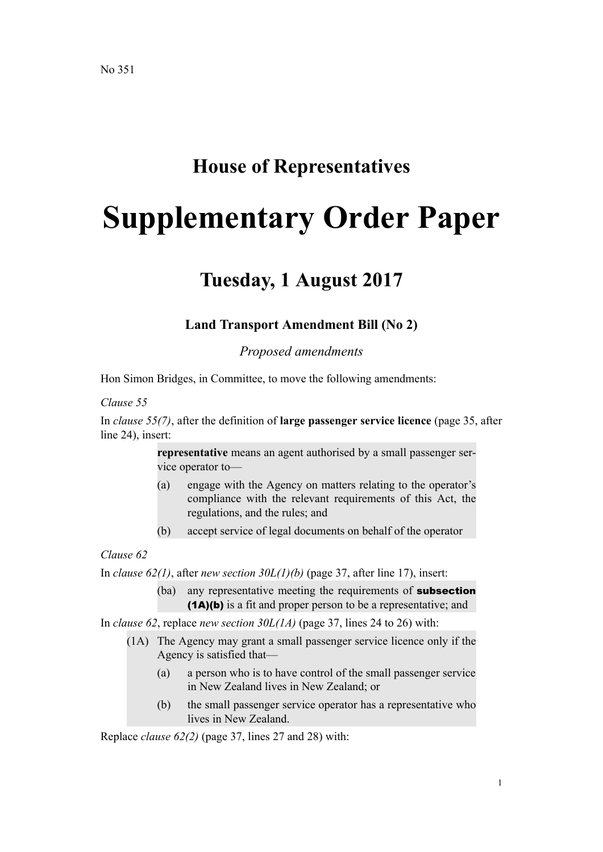# **House of Representatives**

# **Supplementary Order Paper**

# **Tuesday, 1 August 2017**

## **Land Transport Amendment Bill (No 2)**

*Proposed amendments*

Hon Simon Bridges, in Committee, to move the following amendments:

#### *Clause 55*

In *clause 55(7)*, after the definition of **large passenger service licence** (page 35, after line 24), insert:

> **representative** means an agent authorised by a small passenger service operator to—

- (a) engage with the Agency on matters relating to the operator's compliance with the relevant requirements of this Act, the regulations, and the rules; and
- (b) accept service of legal documents on behalf of the operator

#### *Clause 62*

In *clause 62(1)*, after *new section 30L(1)(b)* (page 37, after line 17), insert:

(ba) any representative meeting the requirements of **subsection** (1A)(b) is a fit and proper person to be a representative; and

In *clause 62*, replace *new section 30L(1A)* (page 37, lines 24 to 26) with:

- (1A) The Agency may grant a small passenger service licence only if the Agency is satisfied that—
	- (a) a person who is to have control of the small passenger service in New Zealand lives in New Zealand; or
	- (b) the small passenger service operator has a representative who lives in New Zealand.

Replace *clause 62(2)* (page 37, lines 27 and 28) with: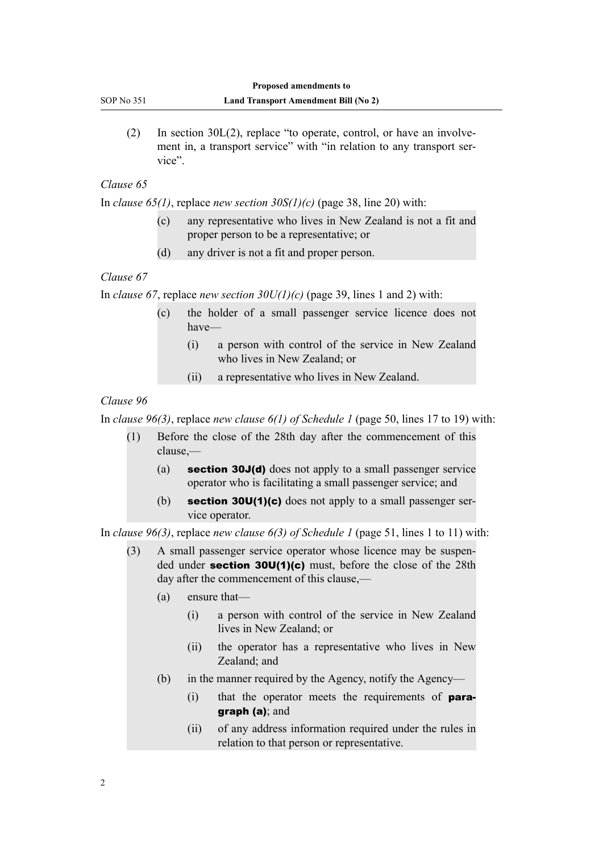(2) In section  $30L(2)$ , replace "to operate, control, or have an involvement in, a transport service" with "in relation to any transport service".

#### *Clause 65*

In *clause 65(1)*, replace *new section 30S(1)(c)* (page 38, line 20) with:

- (c) any representative who lives in New Zealand is not a fit and proper person to be a representative; or
- (d) any driver is not a fit and proper person.

#### *Clause 67*

In *clause 67*, replace *new section 30U(1)(c)* (page 39, lines 1 and 2) with:

- (c) the holder of a small passenger service licence does not have—
	- (i) a person with control of the service in New Zealand who lives in New Zealand; or
	- (ii) a representative who lives in New Zealand.

#### *Clause 96*

In *clause 96(3)*, replace *new clause 6(1) of Schedule 1* (page 50, lines 17 to 19) with:

- (1) Before the close of the 28th day after the commencement of this clause,—
	- (a) section 30J(d) does not apply to a small passenger service operator who is facilitating a small passenger service; and
	- (b) section 30U(1)(c) does not apply to a small passenger service operator.

In *clause 96(3)*, replace *new clause 6(3) of Schedule 1* (page 51, lines 1 to 11) with:

- (3) A small passenger service operator whose licence may be suspended under section 30U(1)(c) must, before the close of the 28th day after the commencement of this clause,—
	- (a) ensure that—
		- (i) a person with control of the service in New Zealand lives in New Zealand; or
		- (ii) the operator has a representative who lives in New Zealand; and
	- (b) in the manner required by the Agency, notify the Agency—
		- (i) that the operator meets the requirements of paragraph (a); and
		- (ii) of any address information required under the rules in relation to that person or representative.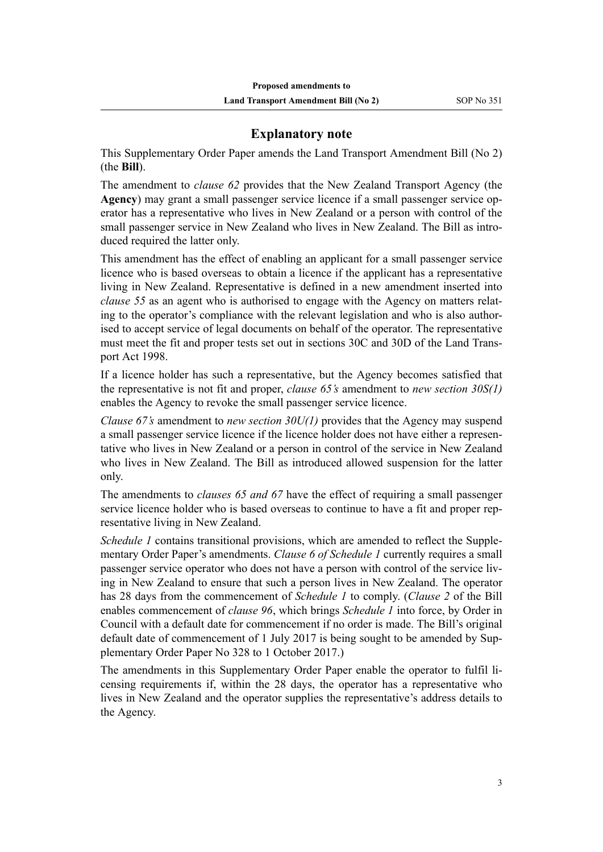## **Explanatory note**

This Supplementary Order Paper amends the Land Transport Amendment Bill (No 2) (the **Bill**).

The amendment to *clause 62* provides that the New Zealand Transport Agency (the **Agency**) may grant a small passenger service licence if a small passenger service operator has a representative who lives in New Zealand or a person with control of the small passenger service in New Zealand who lives in New Zealand. The Bill as introduced required the latter only.

This amendment has the effect of enabling an applicant for a small passenger service licence who is based overseas to obtain a licence if the applicant has a representative living in New Zealand. Representative is defined in a new amendment inserted into *clause 55* as an agent who is authorised to engage with the Agency on matters relating to the operator's compliance with the relevant legislation and who is also authorised to accept service of legal documents on behalf of the operator. The representative must meet the fit and proper tests set out in sections 30C and 30D of the Land Transport Act 1998.

If a licence holder has such a representative, but the Agency becomes satisfied that the representative is not fit and proper, *clause 65's* amendment to *new section 30S(1)* enables the Agency to revoke the small passenger service licence.

*Clause 67's* amendment to *new section 30U(1)* provides that the Agency may suspend a small passenger service licence if the licence holder does not have either a representative who lives in New Zealand or a person in control of the service in New Zealand who lives in New Zealand. The Bill as introduced allowed suspension for the latter only.

The amendments to *clauses 65 and 67* have the effect of requiring a small passenger service licence holder who is based overseas to continue to have a fit and proper representative living in New Zealand.

*Schedule 1* contains transitional provisions, which are amended to reflect the Supplementary Order Paper's amendments. *Clause 6 of Schedule 1* currently requires a small passenger service operator who does not have a person with control of the service living in New Zealand to ensure that such a person lives in New Zealand. The operator has 28 days from the commencement of *Schedule 1* to comply. (*Clause 2* of the Bill enables commencement of *clause 96*, which brings *Schedule 1* into force, by Order in Council with a default date for commencement if no order is made. The Bill's original default date of commencement of 1 July 2017 is being sought to be amended by Supplementary Order Paper No 328 to 1 October 2017.)

The amendments in this Supplementary Order Paper enable the operator to fulfil licensing requirements if, within the 28 days, the operator has a representative who lives in New Zealand and the operator supplies the representative's address details to the Agency.